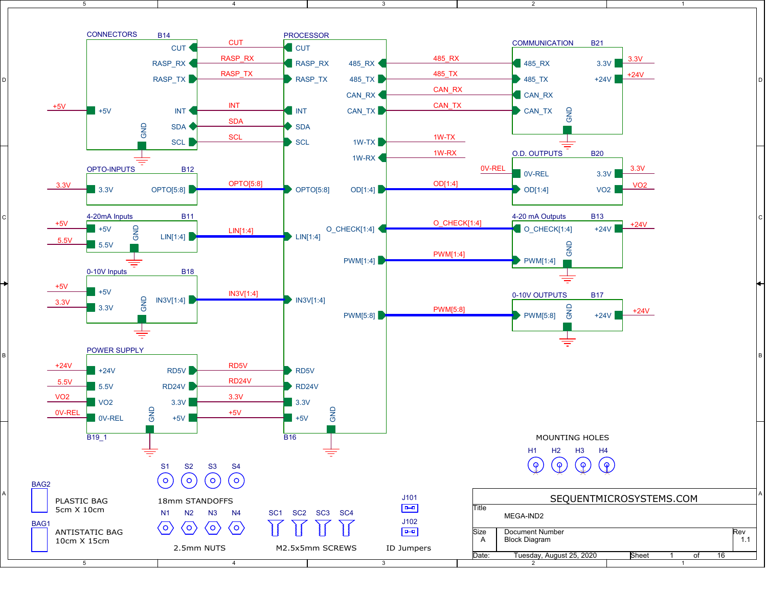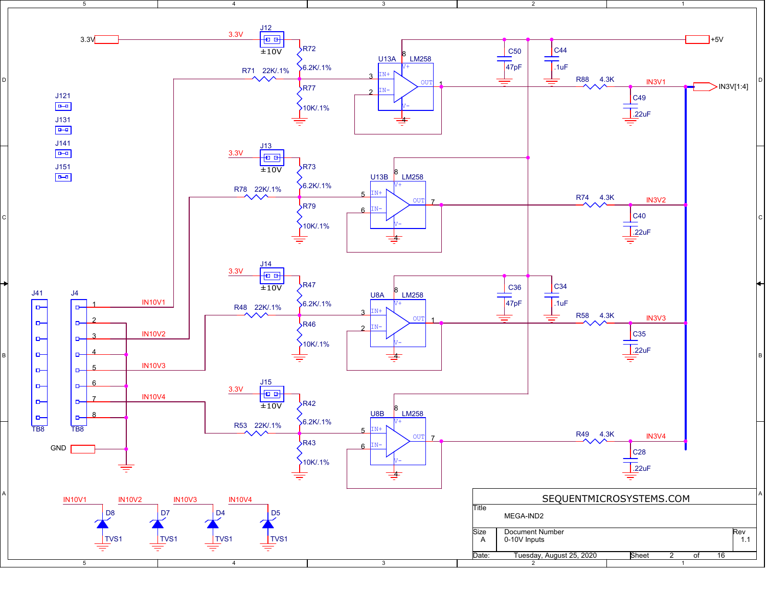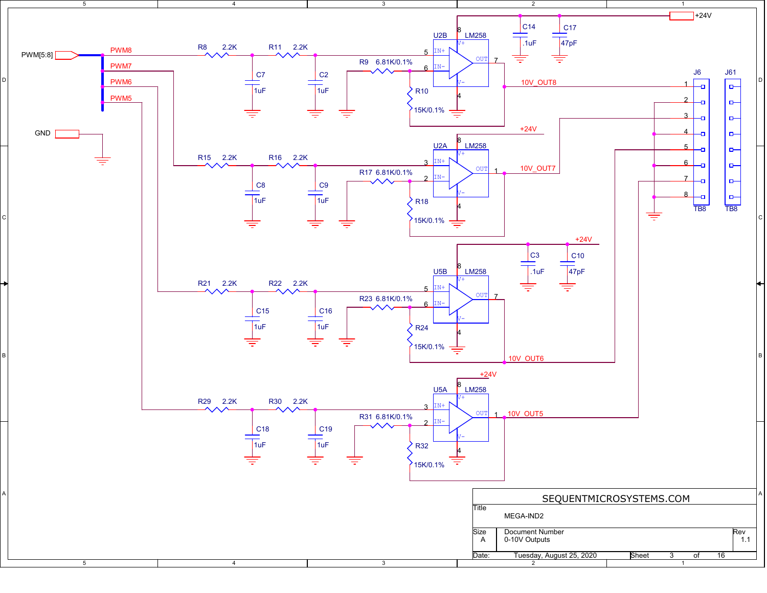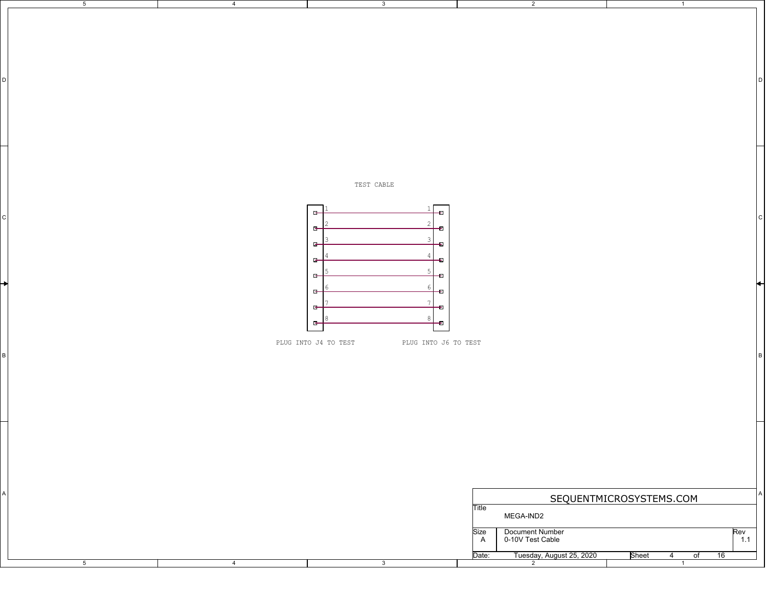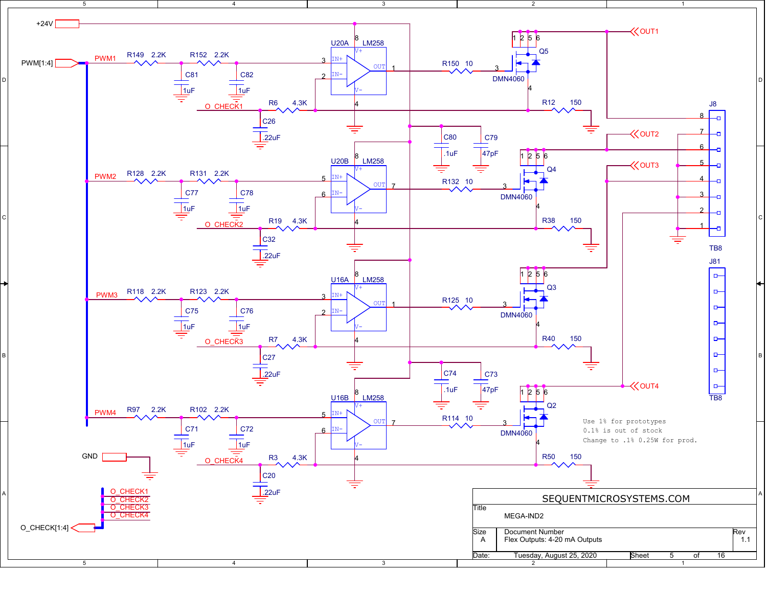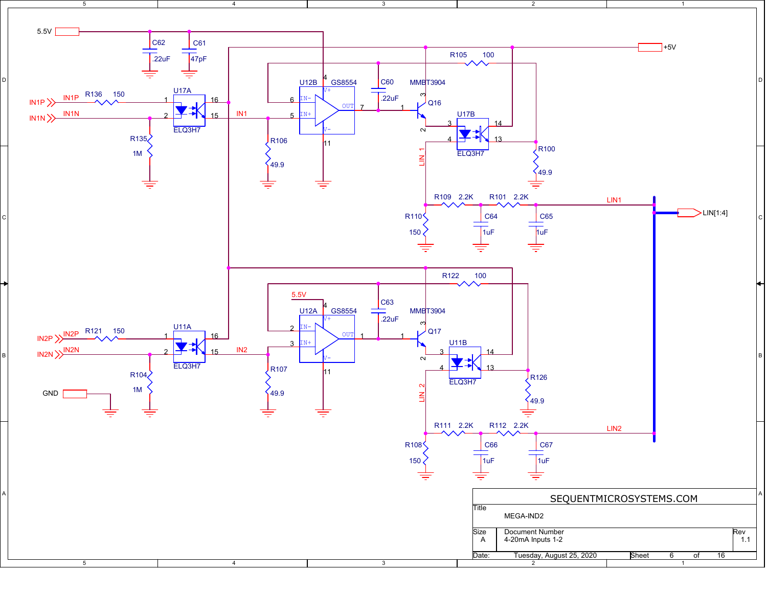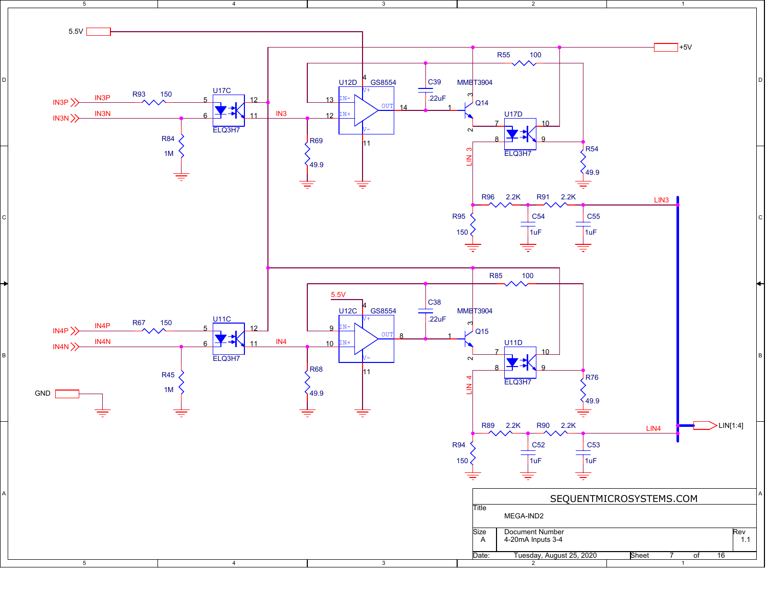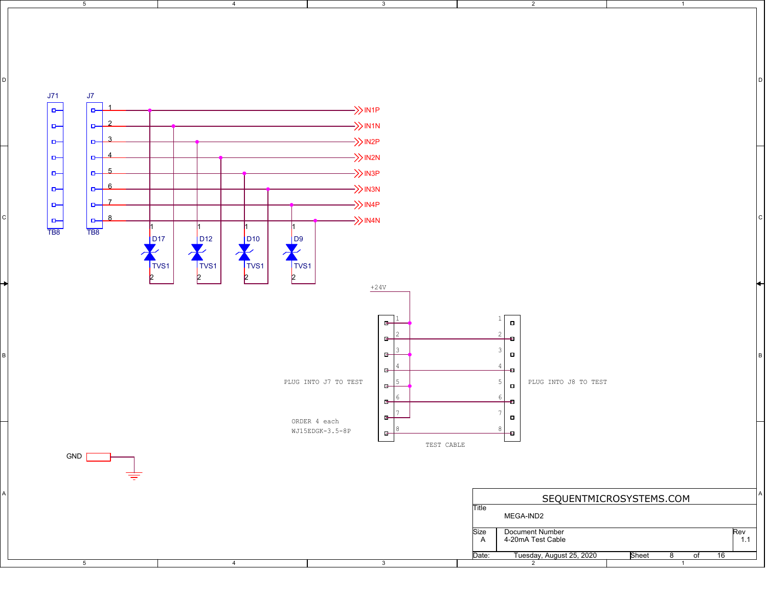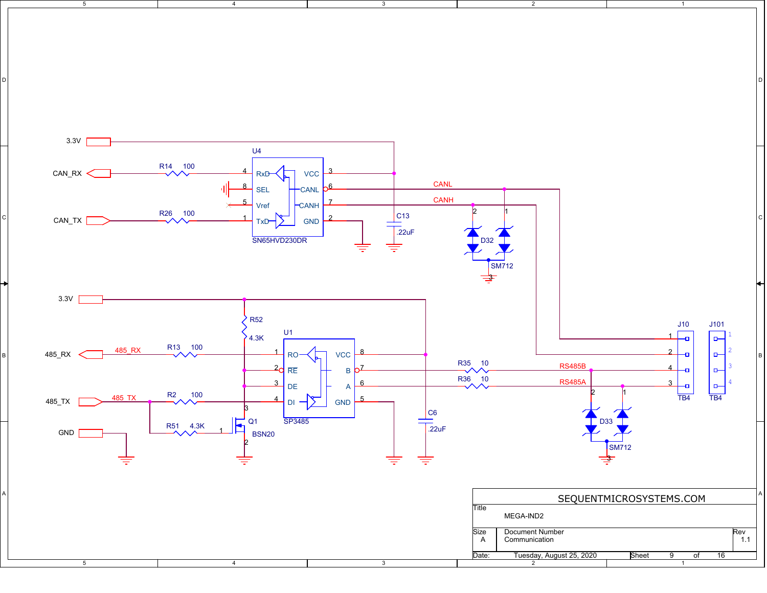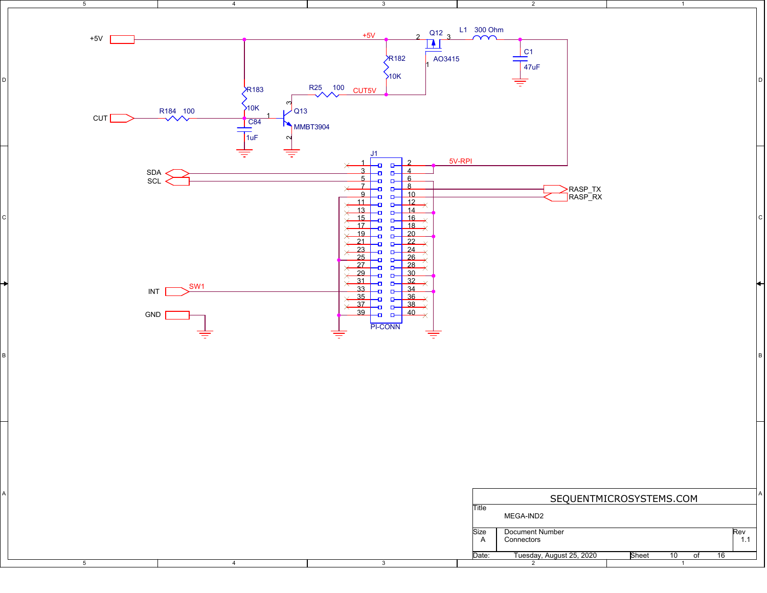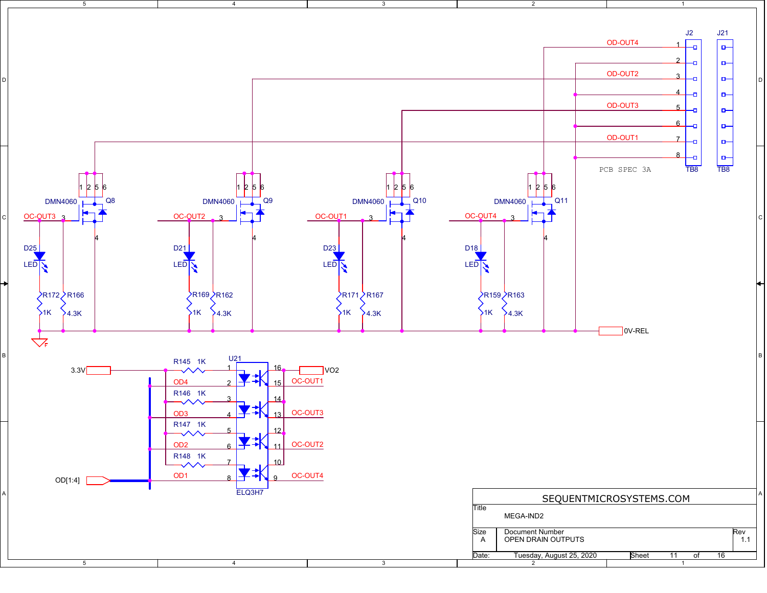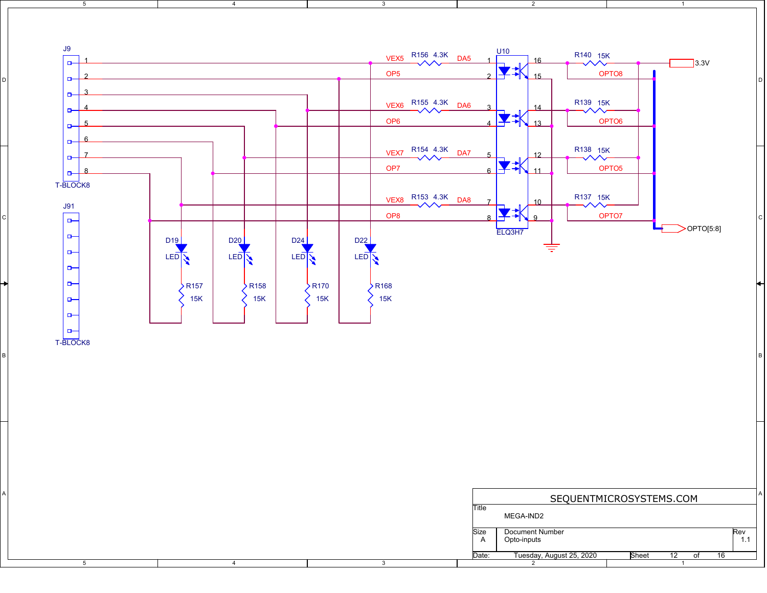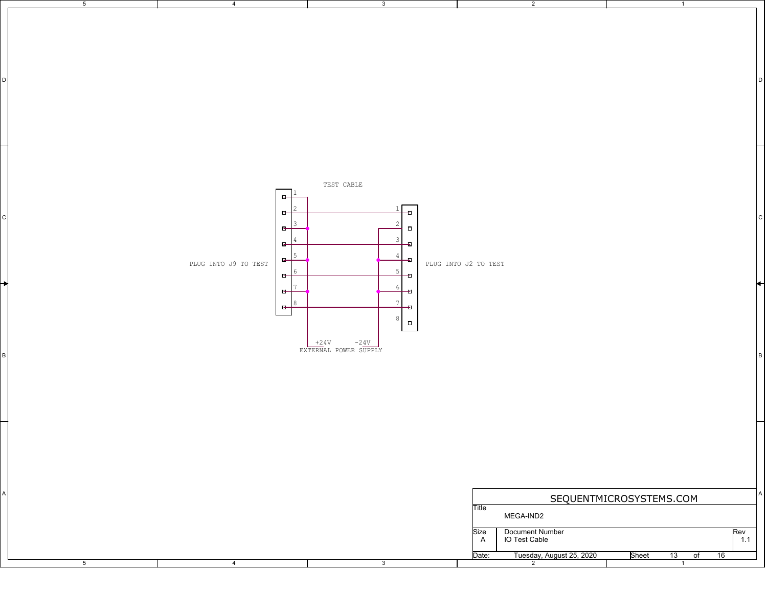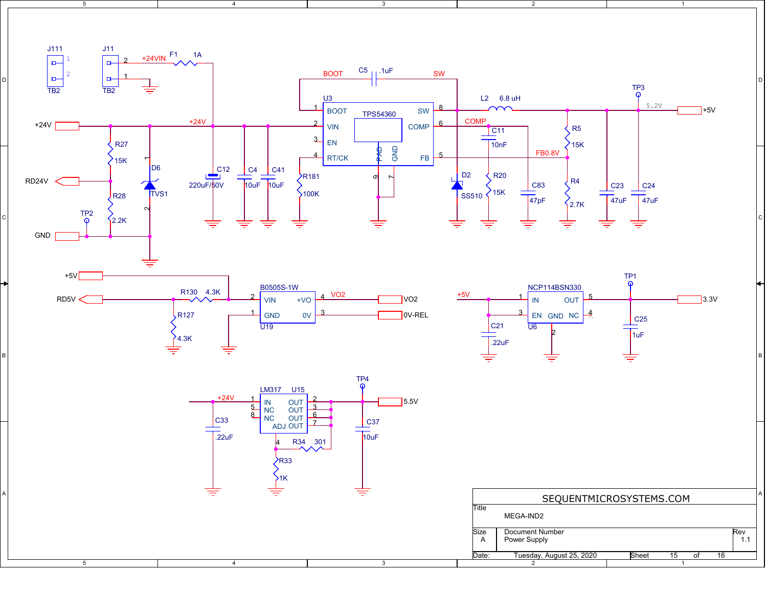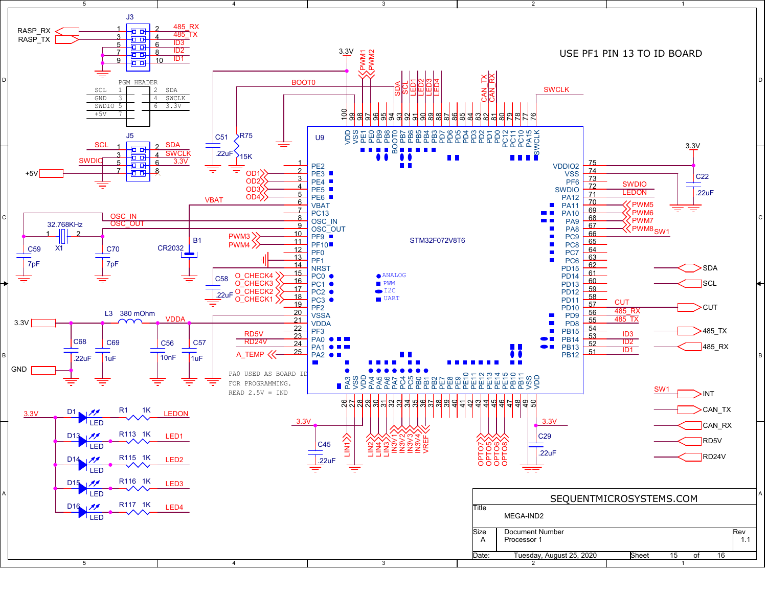